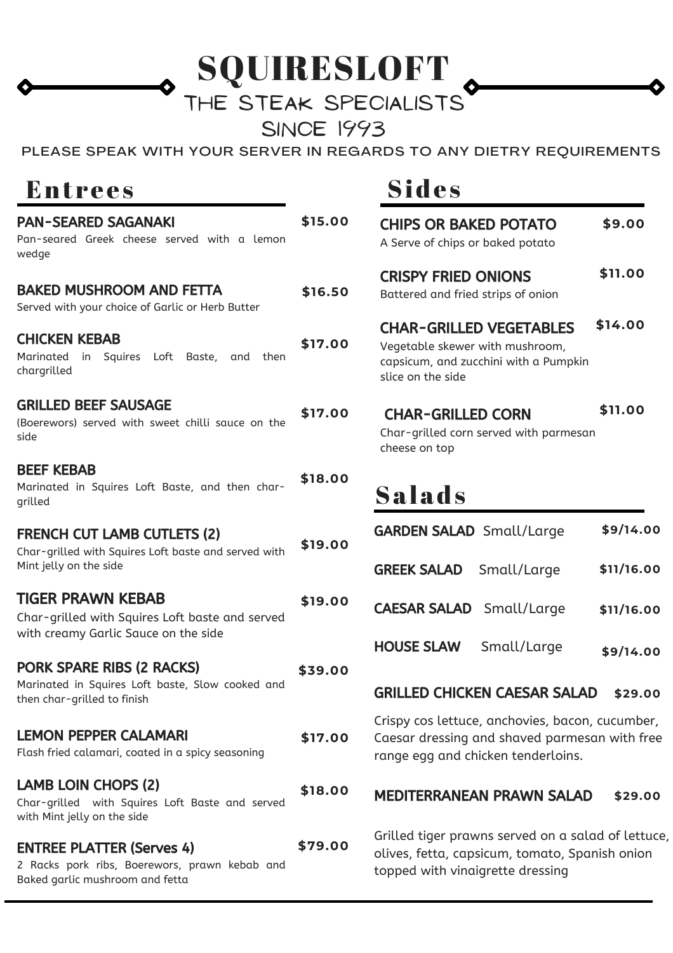SQUIRESLOFT

## THE STEAK SPECIALISTS

**SINCE 1993** 

PLEASE SPEAK WITH YOUR SERVER IN REGARDS TO ANY DIETRY REQUIREMENTS

## Entrees

| <b>PAN-SEARED SAGANAKI</b><br>Pan-seared Greek cheese served with a lemon<br>wedge                                   | \$15.00 | <b>CI</b><br>$\mathsf{A}$                  |
|----------------------------------------------------------------------------------------------------------------------|---------|--------------------------------------------|
| <b>BAKED MUSHROOM AND FETTA</b><br>Served with your choice of Garlic or Herb Butter                                  | \$16.50 | $\overline{\mathsf{C}}$<br>Bc              |
| <b>CHICKEN KEBAB</b><br>Marinated in Squires Loft<br>Baste,<br>and<br>then<br>chargrilled                            | \$17.00 | $\overline{\mathsf{C}}$<br>Ve<br>ca<br>sli |
| <b>GRILLED BEEF SAUSAGE</b><br>(Boerewors) served with sweet chilli sauce on the<br>side                             | \$17.00 | C<br>Ch<br>ch                              |
| <b>BEEF KEBAB</b><br>Marinated in Squires Loft Baste, and then char-<br>grilled                                      | \$18.00 | S                                          |
| <b>FRENCH CUT LAMB CUTLETS (2)</b><br>Char-grilled with Squires Loft baste and served with<br>Mint jelly on the side | \$19.00 | GA<br><b>GR</b>                            |
| <b>TIGER PRAWN KEBAB</b><br>Char-grilled with Squires Loft baste and served<br>with creamy Garlic Sauce on the side  | \$19.00 | CA                                         |
| <b>PORK SPARE RIBS (2 RACKS)</b><br>Marinated in Squires Loft baste, Slow cooked and<br>then char-grilled to finish  | \$39.00 | HC<br><b>GR</b>                            |
| <b>LEMON PEPPER CALAMARI</b><br>Flash fried calamari, coated in a spicy seasoning                                    | \$17.00 | Cri:<br>Ca<br>rar                          |
| <b>LAMB LOIN CHOPS (2)</b><br>Char-grilled with Squires Loft Baste and served<br>with Mint jelly on the side         | \$18.00 | <b>ME</b>                                  |
| <b>ENTREE PLATTER (Serves 4)</b><br>2 Racks pork ribs, Boerewors, prawn kebab and<br>Baked garlic mushroom and fetta | \$79.00 | Gri<br>oli<br>top                          |

## Sides

| <b>CHIPS OR BAKED POTATO</b><br>A Serve of chips or baked potato                                                                | \$9.00     |
|---------------------------------------------------------------------------------------------------------------------------------|------------|
| <b>CRISPY FRIED ONIONS</b><br>Battered and fried strips of onion                                                                | \$11.00    |
| <b>CHAR-GRILLED VEGETABLES</b><br>Vegetable skewer with mushroom,<br>capsicum, and zucchini with a Pumpkin<br>slice on the side | \$14.00    |
| <b>CHAR-GRILLED CORN</b><br>Char-grilled corn served with parmesan<br>cheese on top                                             | \$11.00    |
| Salads                                                                                                                          |            |
| <b>GARDEN SALAD</b> Small/Large                                                                                                 | \$9/14.00  |
| <b>GREEK SALAD</b><br>Small/Large                                                                                               | \$11/16.00 |
| <b>CAESAR SALAD</b> Small/Large                                                                                                 | \$11/16.00 |
| <b>HOUSE SLAW</b><br>Small/Large                                                                                                | \$9/14.00  |
| <b>GRILLED CHICKEN CAESAR SALAD</b>                                                                                             | \$29.00    |

#### Crispy cos lettuce, anchovies, bacon, cucumber, Caesar dressing and shaved parmesan with free **\$17.00** range egg and chicken tenderloins.

#### MEDITERRANEAN PRAWN SALAD **\$18.00 \$29.00**

Grilled tiger prawns served on a salad of lettuce, olives, fetta, capsicum, tomato, Spanish onion topped with vinaigrette dressing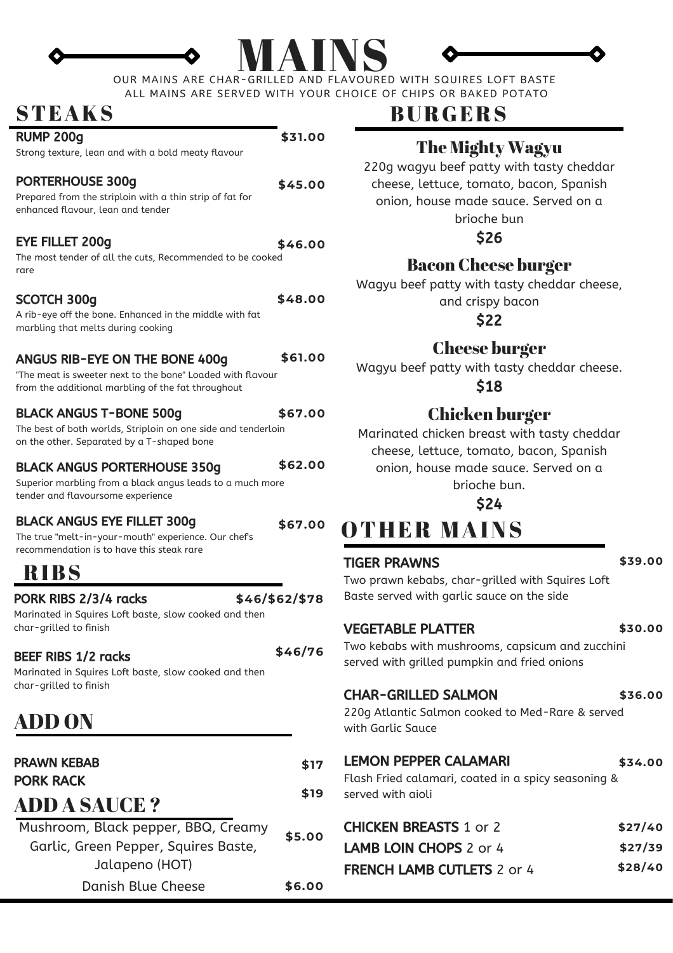# MAINS

OUR MAINS ARE CHAR-GRILLED AND FLAVOURED WITH SQUIRES LOFT BASTE ALL MAINS ARE SERVED WITH YOUR CHOICE OF CHIPS OR BAKED POTATO

## STEAKS

| <b>RUMP 200g</b>                                                                                                                                          | \$31.00        |                                    |
|-----------------------------------------------------------------------------------------------------------------------------------------------------------|----------------|------------------------------------|
| Strong texture, lean and with a bold meaty flavour                                                                                                        |                | 2i                                 |
| <b>PORTERHOUSE 300g</b><br>Prepared from the striploin with a thin strip of fat for<br>enhanced flavour, lean and tender                                  | \$45.00        |                                    |
| <b>EYE FILLET 200g</b><br>The most tender of all the cuts, Recommended to be cooked<br>rare                                                               | \$46.00        |                                    |
| <b>SCOTCH 300g</b><br>A rib-eye off the bone. Enhanced in the middle with fat<br>marbling that melts during cooking                                       | \$48.00        | Wa                                 |
| <b>ANGUS RIB-EYE ON THE BONE 400g</b><br>"The meat is sweeter next to the bone" Loaded with flavour<br>from the additional marbling of the fat throughout | \$61.00        | Wa                                 |
| <b>BLACK ANGUS T-BONE 500g</b><br>The best of both worlds, Striploin on one side and tenderloin<br>on the other. Separated by a T-shaped bone             | \$67.00        | Mo                                 |
| <b>BLACK ANGUS PORTERHOUSE 350g</b><br>Superior marbling from a black angus leads to a much more                                                          | \$62.00        |                                    |
| tender and flavoursome experience                                                                                                                         |                |                                    |
| <b>BLACK ANGUS EYE FILLET 300g</b><br>The true "melt-in-your-mouth" experience. Our chef's<br>recommendation is to have this steak rare                   | \$67.00        |                                    |
| <b>RIBS</b>                                                                                                                                               |                | <b>TIGEI</b>                       |
| PORK RIBS 2/3/4 racks<br>Marinated in Squires Loft baste, slow cooked and then                                                                            | \$46/\$62/\$78 | Two p<br>Baste                     |
| char-grilled to finish<br><b>BEEF RIBS 1/2 racks</b><br>Marinated in Squires Loft baste, slow cooked and then                                             | \$46/76        | <b>VEGE</b><br>Two k<br>serve      |
| char-grilled to finish<br>ADD ON                                                                                                                          |                | <b>CHAR</b><br>220g<br>with (      |
| <b>PRAWN KEBAB</b>                                                                                                                                        | \$17           | <b>LEM</b>                         |
| <b>PORK RACK</b>                                                                                                                                          | \$19           | Flash<br>serve                     |
| <b>ADD A SAUCE ?</b><br>Mushroom, Black pepper, BBQ, Creamy<br>Garlic, Green Pepper, Squires Baste,<br>Jalapeno (HOT)                                     | \$5.00         | <b>CHIC</b><br>LAMI<br><b>FREN</b> |

## **BURGERS**

### The Mighty Wagyu

220g wagyu beef patty with tasty cheddar cheese, lettuce, tomato, bacon, Spanish onion, house made sauce. Served on a brioche bun

\$26

### Bacon Cheese burger

Wagyu beef patty with tasty cheddar cheese, and crispy bacon

\$22

#### Cheese burger

Wagyu beef patty with tasty cheddar cheese.

\$18

### Chicken burger

Marinated chicken breast with tasty cheddar cheese, lettuce, tomato, bacon, Spanish onion, house made sauce. Served on a brioche bun.

\$24

## OTHER MAINS

#### TIGER PRAWNS

#### **\$39.00**

Two prawn kebabs, char-grilled with Squires Loft Baste served with garlic sauce on the side **\$46/\$62/\$78**

#### **\$30.00**

Two kebabs with mushrooms, capsicum and zucchini **\$46/76** served with grilled pumpkin and fried onions

#### CHAR-GRILLED SALMON

VEGETABLE PLATTER

**\$36.00**

**\$34.00**

220g Atlantic Salmon cooked to Med-Rare & served with Garlic Sauce

#### LEMON PEPPER CALAMARI **\$17**

Flash Fried calamari, coated in a spicy seasoning & served with aioli **\$19**

| \$27/40 |
|---------|
| \$27/39 |
| \$28/40 |
|         |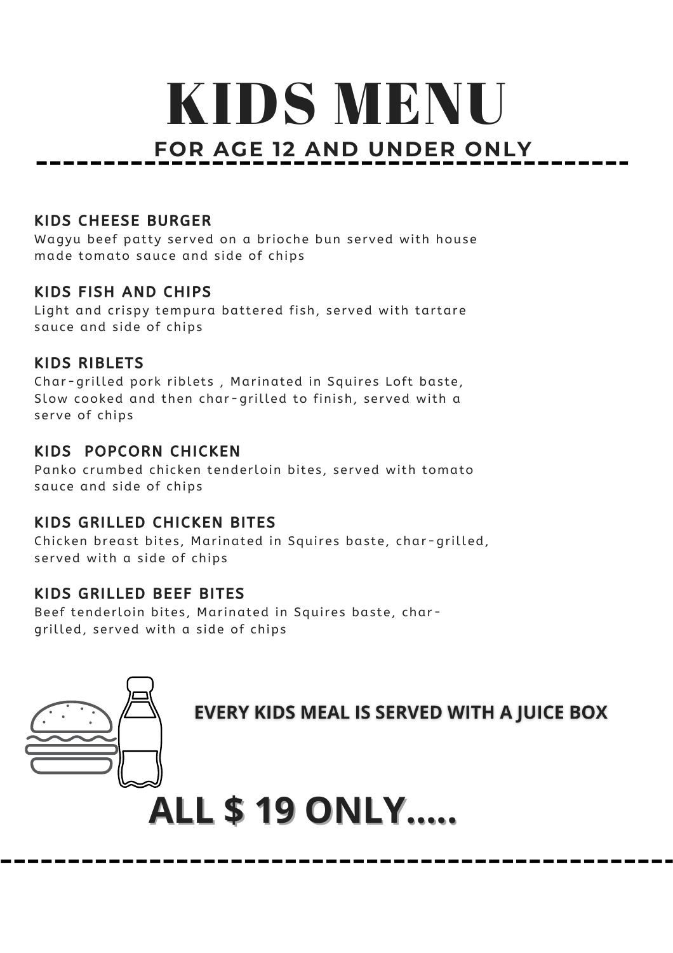## **FOR AGE 12 AND UNDER ONLY** KIDS MENU

#### KIDS CHEESE BURGER

Wagyu beef patty served on a brioche bun served with house made tomato sauce and side of chips

#### KIDS FISH AND CHIPS

Light and crispy tempura battered fish, served with tartare sauce and side of chips

#### KIDS RIBLETS

Char-grilled pork riblets, Marinated in Squires Loft baste, Slow cooked and then char-grilled to finish, served with a serve of chips

#### KIDS POPCORN CHICKEN

Panko crumbed chicken tenderloin bites, served with tomato sauce and side of chips

#### KIDS GRILLED CHICKEN BITES

Chicken breast bites, Marinated in Squires baste, char-grilled, served with a side of chips

#### KIDS GRILLED BEEF BITES

Beef tenderloin bites, Marinated in Squires baste, chargrilled, served with a side of chips



**EVERY KIDS MEAL IS SERVED WITH A JUICE BOX** 

# **ALL \$ 19 ONLY.....**